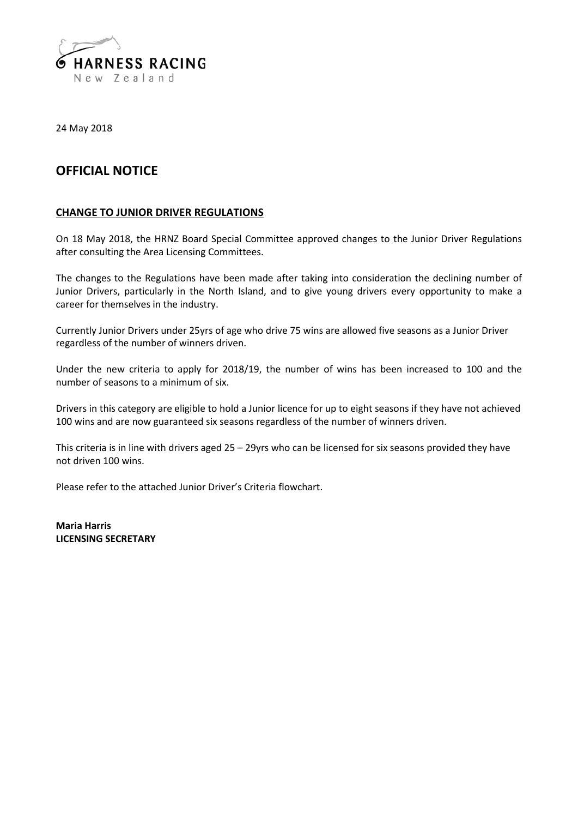

24 May 2018

## **OFFICIAL NOTICE**

## **CHANGE TO JUNIOR DRIVER REGULATIONS**

On 18 May 2018, the HRNZ Board Special Committee approved changes to the Junior Driver Regulations after consulting the Area Licensing Committees.

The changes to the Regulations have been made after taking into consideration the declining number of Junior Drivers, particularly in the North Island, and to give young drivers every opportunity to make a career for themselves in the industry.

Currently Junior Drivers under 25yrs of age who drive 75 wins are allowed five seasons as a Junior Driver regardless of the number of winners driven.

Under the new criteria to apply for 2018/19, the number of wins has been increased to 100 and the number of seasons to a minimum of six.

Drivers in this category are eligible to hold a Junior licence for up to eight seasons if they have not achieved 100 wins and are now guaranteed six seasons regardless of the number of winners driven.

This criteria is in line with drivers aged 25 – 29yrs who can be licensed for six seasons provided they have not driven 100 wins.

Please refer to the attached Junior Driver's Criteria flowchart.

**Maria Harris LICENSING SECRETARY**